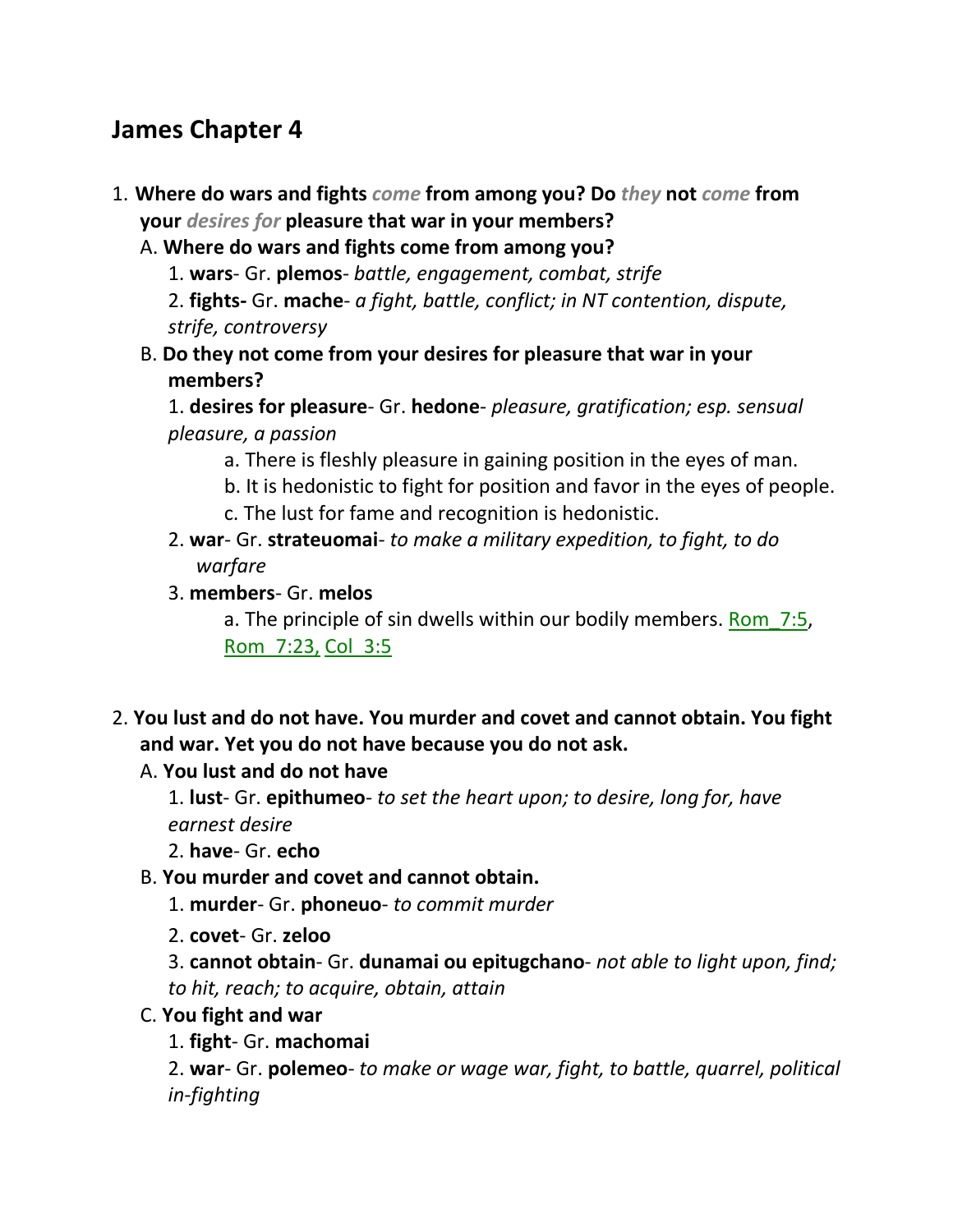# **James Chapter 4**

- 1. **Where do wars and fights** *come* **from among you? Do** *they* **not** *come* **from your** *desires for* **pleasure that war in your members?** 
	- A. **Where do wars and fights come from among you?**
		- 1. **wars** Gr. **plemos** *battle, engagement, combat, strife*

2. **fights-** Gr. **mache**- *a fight, battle, conflict; in NT contention, dispute, strife, controversy*

B. **Do they not come from your desires for pleasure that war in your members?**

1. **desires for pleasure**- Gr. **hedone**- *pleasure, gratification; esp. sensual pleasure, a passion*

- a. There is fleshly pleasure in gaining position in the eyes of man.
- b. It is hedonistic to fight for position and favor in the eyes of people. c. The lust for fame and recognition is hedonistic.
- 2. **war** Gr. **strateuomai** *to make a military expedition, to fight, to do warfare*
- 3. **members** Gr. **melos**

a. The principle of sin dwells within our bodily members. Rom\_7:5, Rom\_7:23, Col\_3:5

2. **You lust and do not have. You murder and covet and cannot obtain. You fight and war. Yet you do not have because you do not ask.** 

#### A. **You lust and do not have**

1. **lust**- Gr. **epithumeo**- *to set the heart upon; to desire, long for, have earnest desire*

- 2. **have** Gr. **echo**
- B. **You murder and covet and cannot obtain.**
	- 1. **murder** Gr. **phoneuo** *to commit murder*
	- 2. **covet** Gr. **zeloo**

3. **cannot obtain**- Gr. **dunamai ou epitugchano**- *not able to light upon, find; to hit, reach; to acquire, obtain, attain*

#### C. **You fight and war**

1. **fight**- Gr. **machomai**

2. **war**- Gr. **polemeo**- *to make or wage war, fight, to battle, quarrel, political in-fighting*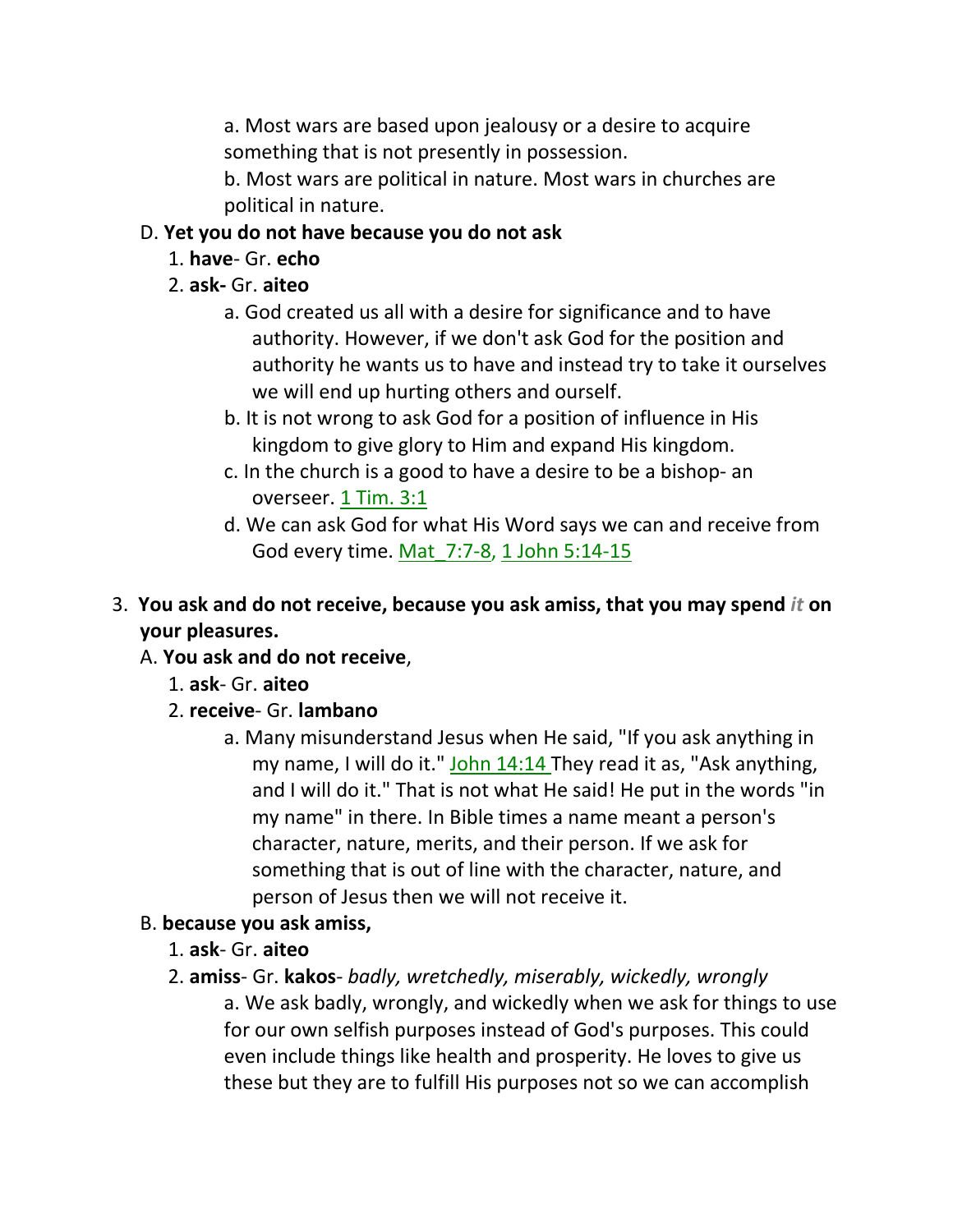a. Most wars are based upon jealousy or a desire to acquire something that is not presently in possession.

b. Most wars are political in nature. Most wars in churches are political in nature.

## D. **Yet you do not have because you do not ask**

- 1. **have** Gr. **echo**
- 2. **ask-** Gr. **aiteo**
	- a. God created us all with a desire for significance and to have authority. However, if we don't ask God for the position and authority he wants us to have and instead try to take it ourselves we will end up hurting others and ourself.
	- b. It is not wrong to ask God for a position of influence in His kingdom to give glory to Him and expand His kingdom.
	- c. In the church is a good to have a desire to be a bishop- an overseer. 1 Tim. 3:1
	- d. We can ask God for what His Word says we can and receive from God every time. Mat\_7:7-8, 1 John 5:14-15
- 3. **You ask and do not receive, because you ask amiss, that you may spend** *it* **on your pleasures.**

# A. **You ask and do not receive**,

- 1. **ask** Gr. **aiteo**
- 2. **receive** Gr. **lambano**
	- a. Many misunderstand Jesus when He said, "If you ask anything in my name, I will do it." John 14:14 They read it as, "Ask anything, and I will do it." That is not what He said! He put in the words "in my name" in there. In Bible times a name meant a person's character, nature, merits, and their person. If we ask for something that is out of line with the character, nature, and person of Jesus then we will not receive it.

# B. **because you ask amiss,**

- 1. **ask** Gr. **aiteo**
- 2. **amiss** Gr. **kakos** *badly, wretchedly, miserably, wickedly, wrongly* a. We ask badly, wrongly, and wickedly when we ask for things to use for our own selfish purposes instead of God's purposes. This could even include things like health and prosperity. He loves to give us these but they are to fulfill His purposes not so we can accomplish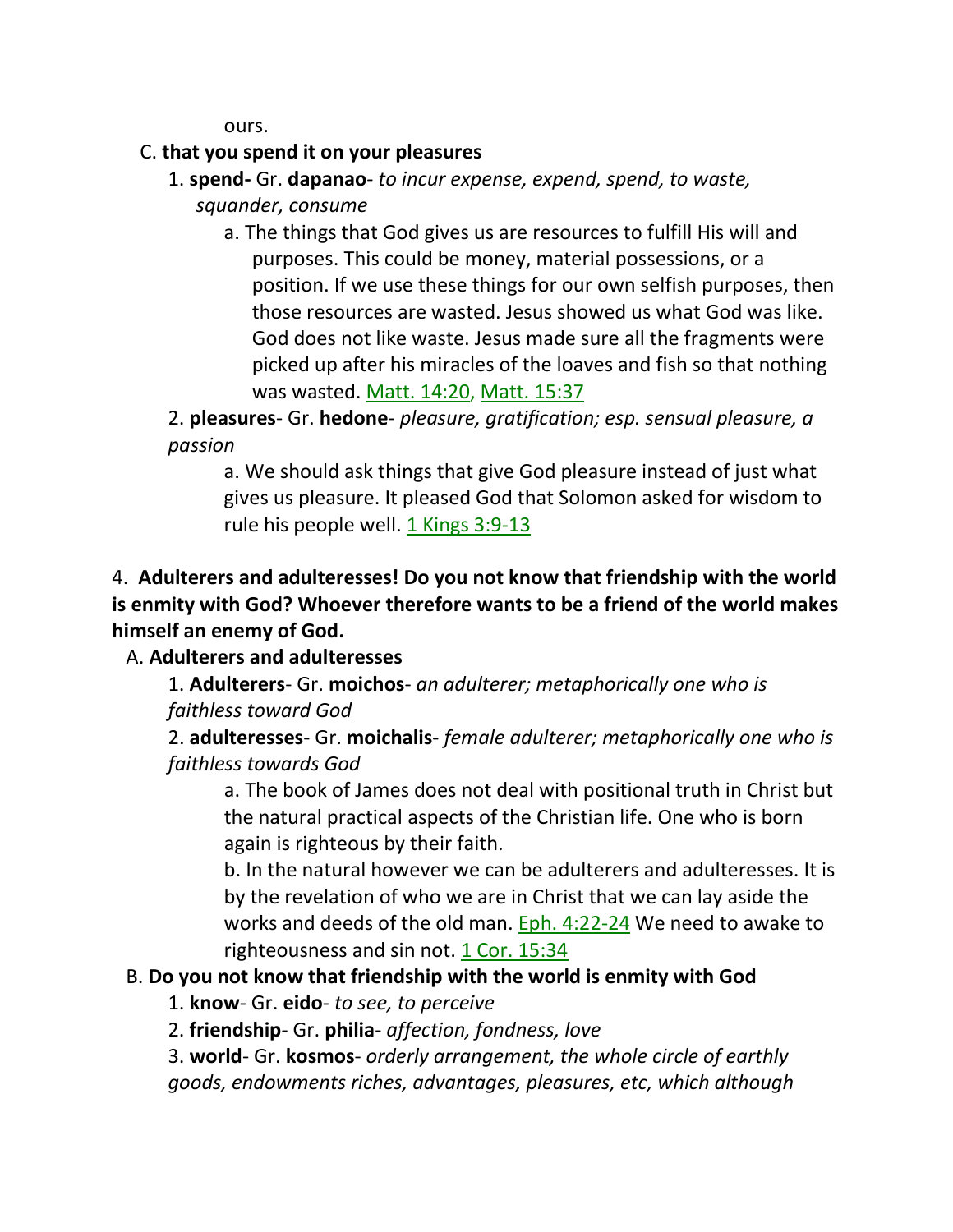ours.

### C. **that you spend it on your pleasures**

- 1. **spend-** Gr. **dapanao** *to incur expense, expend, spend, to waste, squander, consume*
	- a. The things that God gives us are resources to fulfill His will and purposes. This could be money, material possessions, or a position. If we use these things for our own selfish purposes, then those resources are wasted. Jesus showed us what God was like. God does not like waste. Jesus made sure all the fragments were picked up after his miracles of the loaves and fish so that nothing was wasted. Matt. 14:20, Matt. 15:37

2. **pleasures**- Gr. **hedone**- *pleasure, gratification; esp. sensual pleasure, a passion*

a. We should ask things that give God pleasure instead of just what gives us pleasure. It pleased God that Solomon asked for wisdom to rule his people well.  $1$  Kings 3:9-13

# 4. **Adulterers and adulteresses! Do you not know that friendship with the world is enmity with God? Whoever therefore wants to be a friend of the world makes himself an enemy of God.**

A. **Adulterers and adulteresses**

1. **Adulterers**- Gr. **moichos**- *an adulterer; metaphorically one who is faithless toward God*

2. **adulteresses**- Gr. **moichalis**- *female adulterer; metaphorically one who is faithless towards God*

a. The book of James does not deal with positional truth in Christ but the natural practical aspects of the Christian life. One who is born again is righteous by their faith.

b. In the natural however we can be adulterers and adulteresses. It is by the revelation of who we are in Christ that we can lay aside the works and deeds of the old man. Eph. 4:22-24 We need to awake to righteousness and sin not. 1 Cor. 15:34

### B. **Do you not know that friendship with the world is enmity with God**

- 1. **know** Gr. **eido** *to see, to perceive*
- 2. **friendship** Gr. **philia** *affection, fondness, love*

3. **world**- Gr. **kosmos**- *orderly arrangement, the whole circle of earthly goods, endowments riches, advantages, pleasures, etc, which although*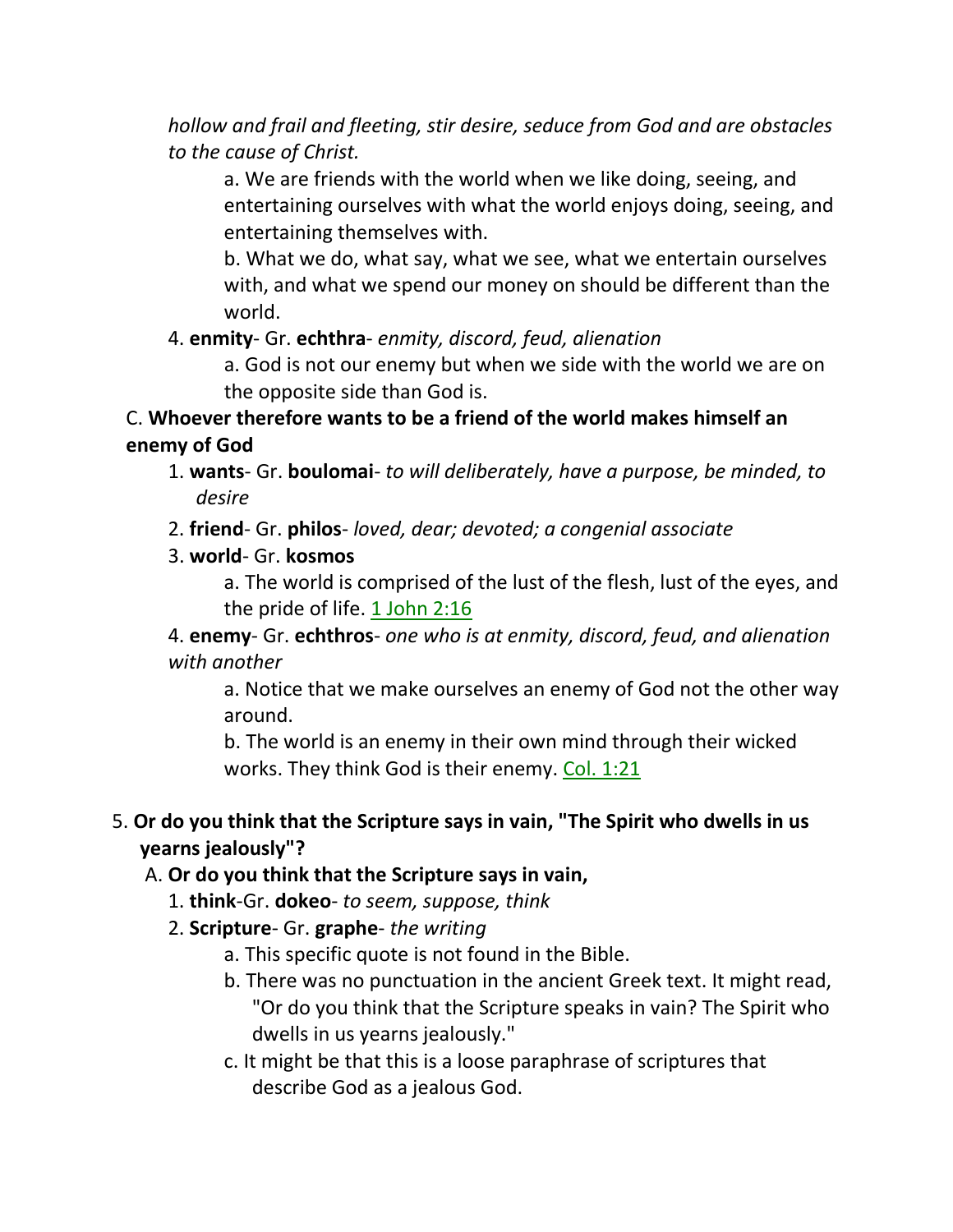*hollow and frail and fleeting, stir desire, seduce from God and are obstacles to the cause of Christ.*

a. We are friends with the world when we like doing, seeing, and entertaining ourselves with what the world enjoys doing, seeing, and entertaining themselves with.

b. What we do, what say, what we see, what we entertain ourselves with, and what we spend our money on should be different than the world.

4. **enmity**- Gr. **echthra**- *enmity, discord, feud, alienation*

a. God is not our enemy but when we side with the world we are on the opposite side than God is.

# C. **Whoever therefore wants to be a friend of the world makes himself an enemy of God**

- 1. **wants** Gr. **boulomai** *to will deliberately, have a purpose, be minded, to desire*
- 2. **friend** Gr. **philos** *loved, dear; devoted; a congenial associate*
- 3. **world** Gr. **kosmos**

a. The world is comprised of the lust of the flesh, lust of the eyes, and the pride of life. 1 John 2:16

4. **enemy**- Gr. **echthros**- *one who is at enmity, discord, feud, and alienation with another*

a. Notice that we make ourselves an enemy of God not the other way around.

b. The world is an enemy in their own mind through their wicked works. They think God is their enemy. Col. 1:21

# 5. **Or do you think that the Scripture says in vain, "The Spirit who dwells in us yearns jealously"?**

# A. **Or do you think that the Scripture says in vain,**

- 1. **think**-Gr. **dokeo** *to seem, suppose, think*
- 2. **Scripture** Gr. **graphe** *the writing*
	- a. This specific quote is not found in the Bible.
	- b. There was no punctuation in the ancient Greek text. It might read, "Or do you think that the Scripture speaks in vain? The Spirit who dwells in us yearns jealously."
	- c. It might be that this is a loose paraphrase of scriptures that describe God as a jealous God.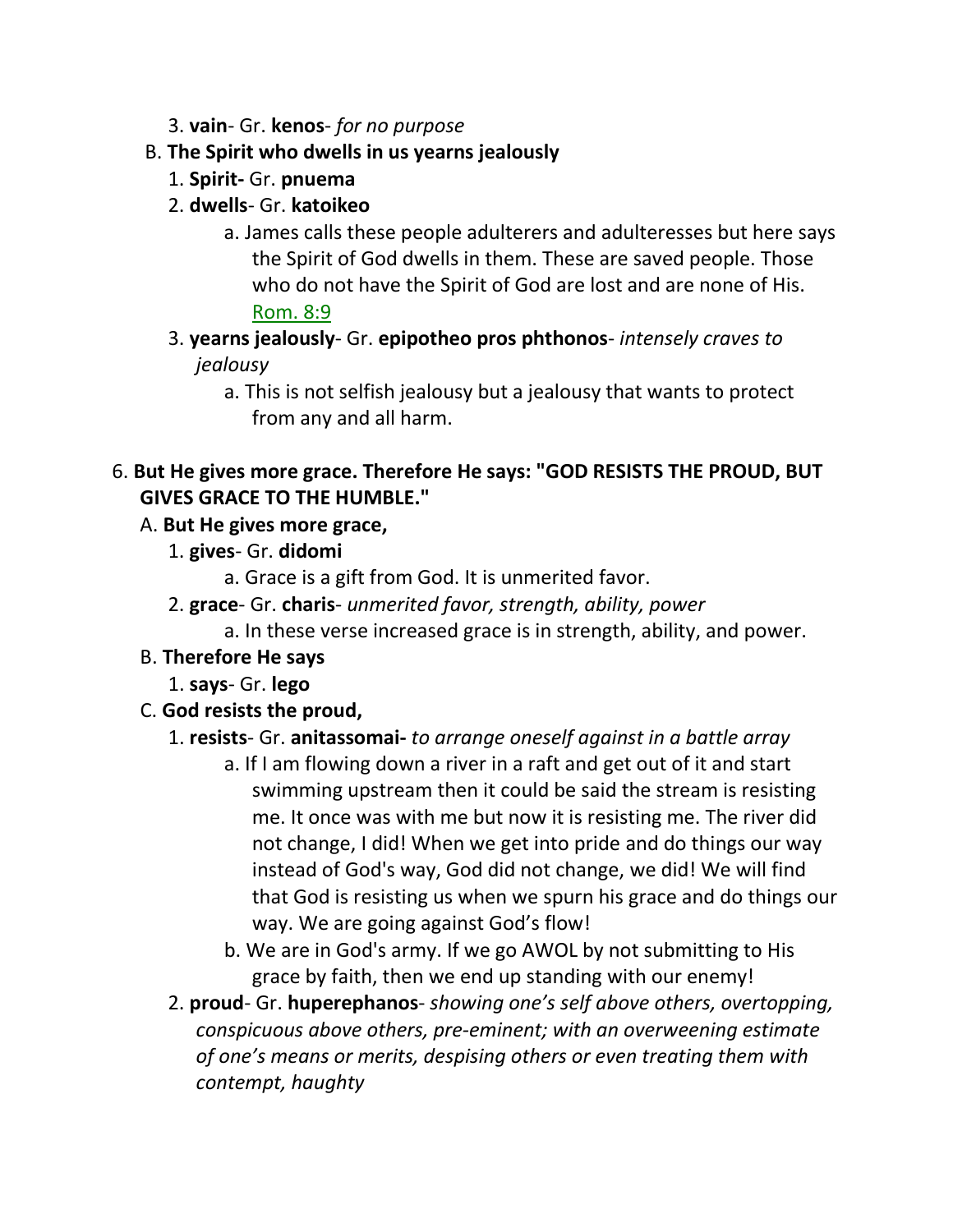- 3. **vain** Gr. **kenos** *for no purpose*
- B. **The Spirit who dwells in us yearns jealously**
	- 1. **Spirit-** Gr. **pnuema**
	- 2. **dwells** Gr. **katoikeo**
		- a. James calls these people adulterers and adulteresses but here says the Spirit of God dwells in them. These are saved people. Those who do not have the Spirit of God are lost and are none of His. Rom. 8:9
	- 3. **yearns jealously** Gr. **epipotheo pros phthonos** *intensely craves to jealousy*
		- a. This is not selfish jealousy but a jealousy that wants to protect from any and all harm.

## 6. **But He gives more grace. Therefore He says: "GOD RESISTS THE PROUD, BUT GIVES GRACE TO THE HUMBLE."**

## A. **But He gives more grace,**

- 1. **gives** Gr. **didomi**
	- a. Grace is a gift from God. It is unmerited favor.
- 2. **grace** Gr. **charis** *unmerited favor, strength, ability, power*
	- a. In these verse increased grace is in strength, ability, and power.
- B. **Therefore He says**
	- 1. **says** Gr. **lego**
- C. **God resists the proud,**

### 1. **resists**- Gr. **anitassomai-** *to arrange oneself against in a battle array*

- a. If I am flowing down a river in a raft and get out of it and start swimming upstream then it could be said the stream is resisting me. It once was with me but now it is resisting me. The river did not change, I did! When we get into pride and do things our way instead of God's way, God did not change, we did! We will find that God is resisting us when we spurn his grace and do things our way. We are going against God's flow!
- b. We are in God's army. If we go AWOL by not submitting to His grace by faith, then we end up standing with our enemy!
- 2. **proud** Gr. **huperephanos** *showing one's self above others, overtopping, conspicuous above others, pre-eminent; with an overweening estimate of one's means or merits, despising others or even treating them with contempt, haughty*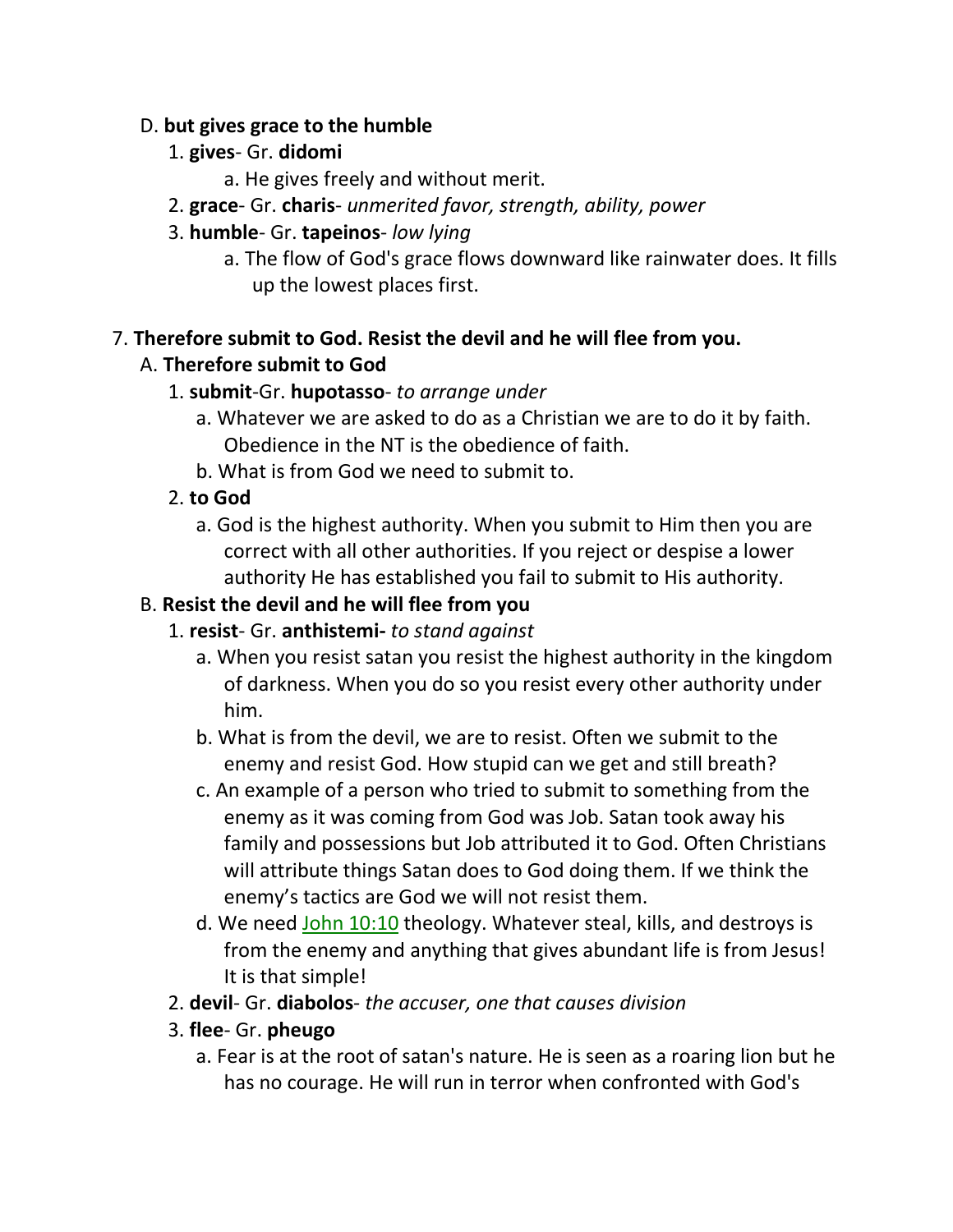#### D. **but gives grace to the humble**

- 1. **gives** Gr. **didomi**
	- a. He gives freely and without merit.
- 2. **grace** Gr. **charis** *unmerited favor, strength, ability, power*
- 3. **humble** Gr. **tapeinos** *low lying*
	- a. The flow of God's grace flows downward like rainwater does. It fills up the lowest places first.

#### 7. **Therefore submit to God. Resist the devil and he will flee from you.**

## A. **Therefore submit to God**

- 1. **submit**-Gr. **hupotasso** *to arrange under*
	- a. Whatever we are asked to do as a Christian we are to do it by faith. Obedience in the NT is the obedience of faith.
	- b. What is from God we need to submit to.
- 2. **to God**
	- a. God is the highest authority. When you submit to Him then you are correct with all other authorities. If you reject or despise a lower authority He has established you fail to submit to His authority.

## B. **Resist the devil and he will flee from you**

- 1. **resist** Gr. **anthistemi-** *to stand against*
	- a. When you resist satan you resist the highest authority in the kingdom of darkness. When you do so you resist every other authority under him.
	- b. What is from the devil, we are to resist. Often we submit to the enemy and resist God. How stupid can we get and still breath?
	- c. An example of a person who tried to submit to something from the enemy as it was coming from God was Job. Satan took away his family and possessions but Job attributed it to God. Often Christians will attribute things Satan does to God doing them. If we think the enemy's tactics are God we will not resist them.
	- d. We need John 10:10 theology. Whatever steal, kills, and destroys is from the enemy and anything that gives abundant life is from Jesus! It is that simple!
- 2. **devil** Gr. **diabolos** *the accuser, one that causes division*
- 3. **flee** Gr. **pheugo**
	- a. Fear is at the root of satan's nature. He is seen as a roaring lion but he has no courage. He will run in terror when confronted with God's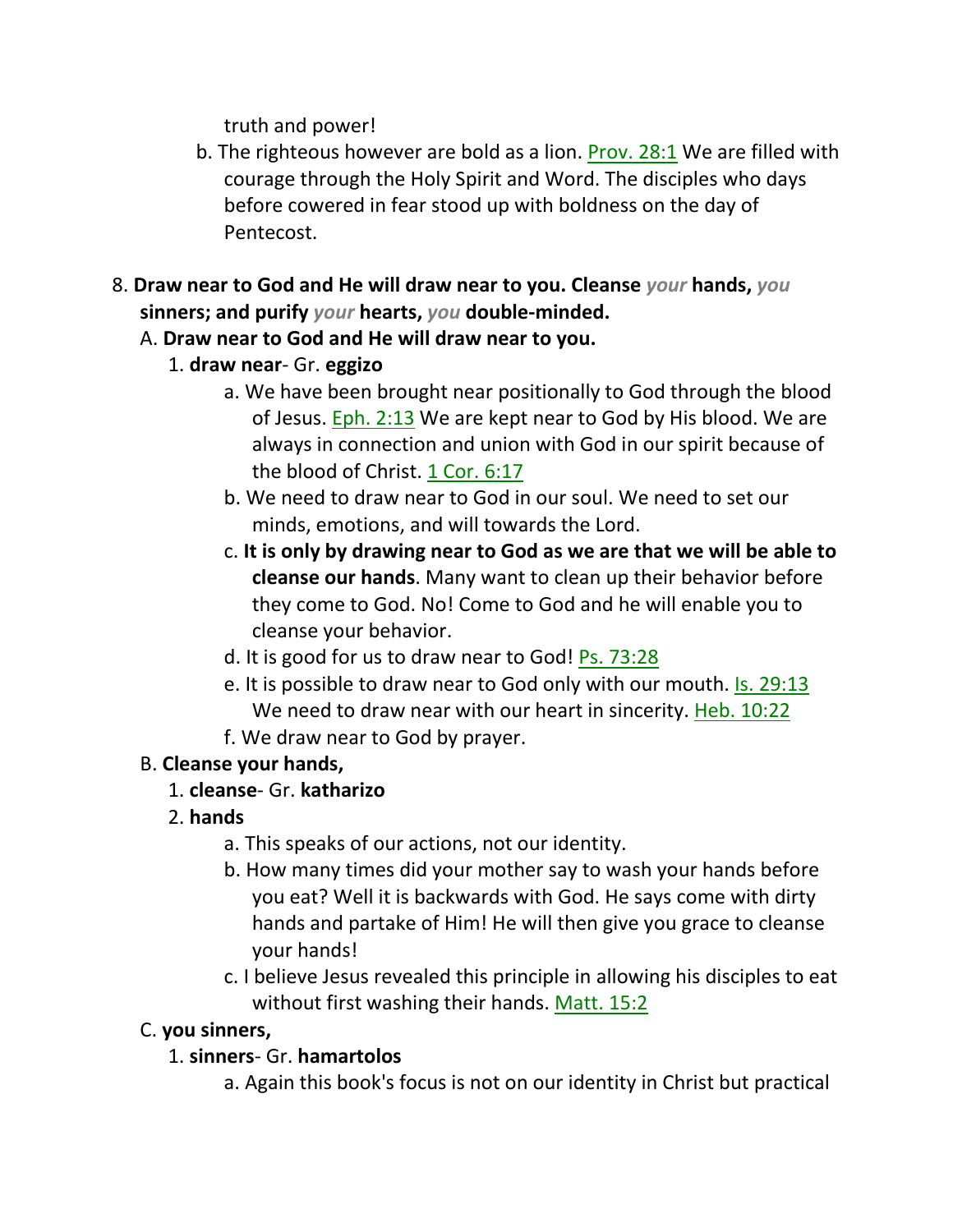truth and power!

- b. The righteous however are bold as a lion. Prov. 28:1 We are filled with courage through the Holy Spirit and Word. The disciples who days before cowered in fear stood up with boldness on the day of Pentecost.
- 8. **Draw near to God and He will draw near to you. Cleanse** *your* **hands,** *you* **sinners; and purify** *your* **hearts,** *you* **double-minded.** 
	- A. **Draw near to God and He will draw near to you.**
		- 1. **draw near** Gr. **eggizo**
			- a. We have been brought near positionally to God through the blood of Jesus. Eph. 2:13 We are kept near to God by His blood. We are always in connection and union with God in our spirit because of the blood of Christ. 1 Cor. 6:17
			- b. We need to draw near to God in our soul. We need to set our minds, emotions, and will towards the Lord.
			- c. **It is only by drawing near to God as we are that we will be able to cleanse our hands**. Many want to clean up their behavior before they come to God. No! Come to God and he will enable you to cleanse your behavior.
			- d. It is good for us to draw near to God! Ps. 73:28
			- e. It is possible to draw near to God only with our mouth. Is. 29:13 We need to draw near with our heart in sincerity. Heb. 10:22
			- f. We draw near to God by prayer.

#### B. **Cleanse your hands,**

- 1. **cleanse** Gr. **katharizo**
- 2. **hands**
	- a. This speaks of our actions, not our identity.
	- b. How many times did your mother say to wash your hands before you eat? Well it is backwards with God. He says come with dirty hands and partake of Him! He will then give you grace to cleanse your hands!
	- c. I believe Jesus revealed this principle in allowing his disciples to eat without first washing their hands. Matt. 15:2

### C. **you sinners,**

### 1. **sinners**- Gr. **hamartolos**

a. Again this book's focus is not on our identity in Christ but practical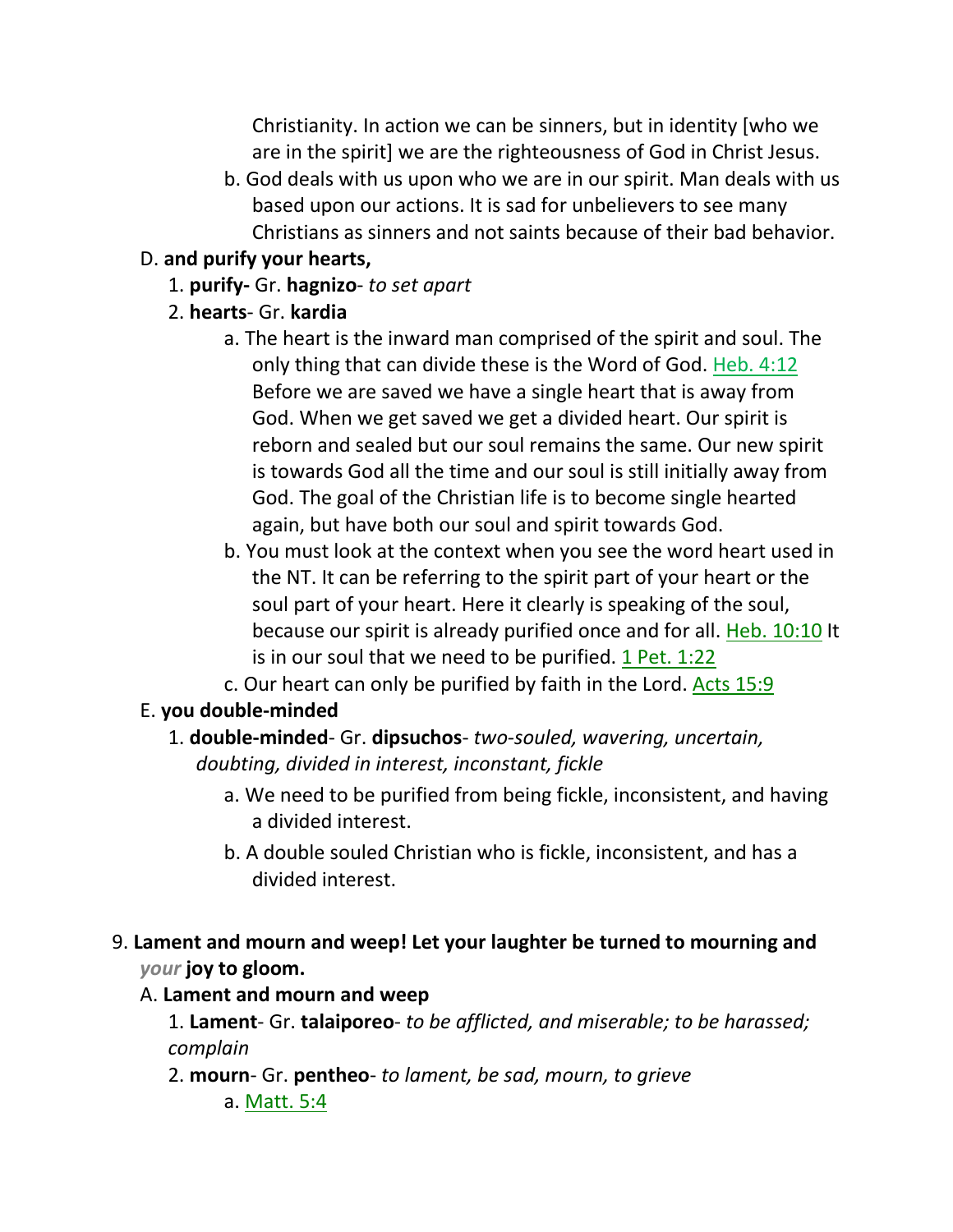Christianity. In action we can be sinners, but in identity [who we are in the spirit] we are the righteousness of God in Christ Jesus.

b. God deals with us upon who we are in our spirit. Man deals with us based upon our actions. It is sad for unbelievers to see many Christians as sinners and not saints because of their bad behavior.

#### D. **and purify your hearts,**

- 1. **purify-** Gr. **hagnizo** *to set apart*
- 2. **hearts** Gr. **kardia**
	- a. The heart is the inward man comprised of the spirit and soul. The only thing that can divide these is the Word of God. Heb. 4:12 Before we are saved we have a single heart that is away from God. When we get saved we get a divided heart. Our spirit is reborn and sealed but our soul remains the same. Our new spirit is towards God all the time and our soul is still initially away from God. The goal of the Christian life is to become single hearted again, but have both our soul and spirit towards God.
	- b. You must look at the context when you see the word heart used in the NT. It can be referring to the spirit part of your heart or the soul part of your heart. Here it clearly is speaking of the soul, because our spirit is already purified once and for all. Heb. 10:10 It is in our soul that we need to be purified. 1 Pet. 1:22
	- c. Our heart can only be purified by faith in the Lord. Acts 15:9

#### E. **you double-minded**

- 1. **double-minded** Gr. **dipsuchos** *two-souled, wavering, uncertain, doubting, divided in interest, inconstant, fickle*
	- a. We need to be purified from being fickle, inconsistent, and having a divided interest.
	- b. A double souled Christian who is fickle, inconsistent, and has a divided interest.
- 9. **Lament and mourn and weep! Let your laughter be turned to mourning and**  *your* **joy to gloom.**

#### A. **Lament and mourn and weep**

1. **Lament**- Gr. **talaiporeo**- *to be afflicted, and miserable; to be harassed; complain*

2. **mourn**- Gr. **pentheo**- *to lament, be sad, mourn, to grieve*

a. Matt. 5:4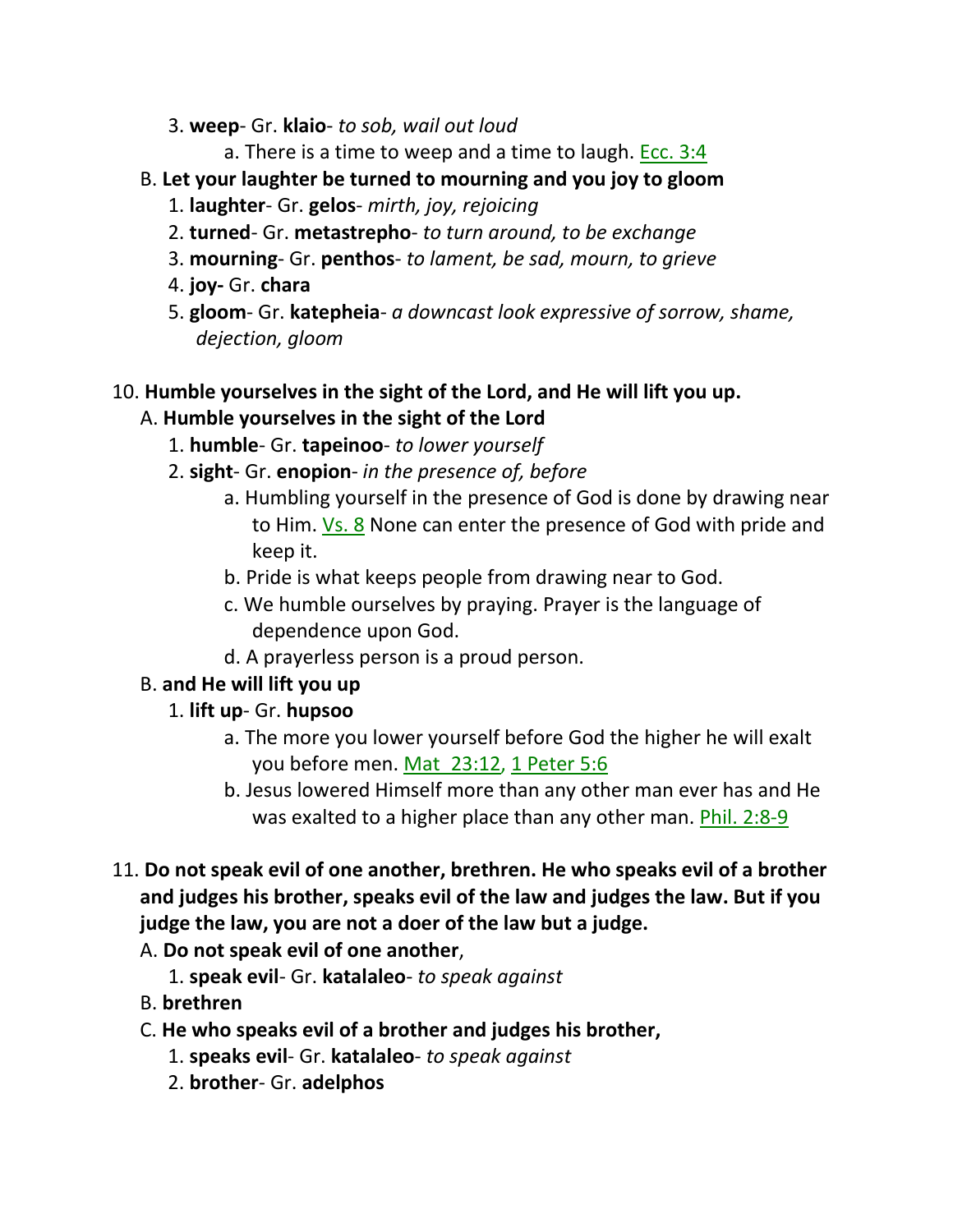- 3. **weep** Gr. **klaio** *to sob, wail out loud*
	- a. There is a time to weep and a time to laugh. Ecc.  $3:4$
- B. **Let your laughter be turned to mourning and you joy to gloom**
	- 1. **laughter** Gr. **gelos** *mirth, joy, rejoicing*
	- 2. **turned** Gr. **metastrepho** *to turn around, to be exchange*
	- 3. **mourning** Gr. **penthos** *to lament, be sad, mourn, to grieve*
	- 4. **joy-** Gr. **chara**
	- 5. **gloom** Gr. **katepheia** *a downcast look expressive of sorrow, shame, dejection, gloom*

# 10. **Humble yourselves in the sight of the Lord, and He will lift you up.**

### A. **Humble yourselves in the sight of the Lord**

- 1. **humble** Gr. **tapeinoo** *to lower yourself*
- 2. **sight** Gr. **enopion** *in the presence of, before*
	- a. Humbling yourself in the presence of God is done by drawing near to Him. Vs. 8 None can enter the presence of God with pride and keep it.
	- b. Pride is what keeps people from drawing near to God.
	- c. We humble ourselves by praying. Prayer is the language of dependence upon God.
	- d. A prayerless person is a proud person.

# B. **and He will lift you up**

- 1. **lift up** Gr. **hupsoo**
	- a. The more you lower yourself before God the higher he will exalt you before men. Mat\_23:12, 1 Peter 5:6
	- b. Jesus lowered Himself more than any other man ever has and He was exalted to a higher place than any other man. Phil. 2:8-9
- 11. **Do not speak evil of one another, brethren. He who speaks evil of a brother and judges his brother, speaks evil of the law and judges the law. But if you judge the law, you are not a doer of the law but a judge.** 
	- A. **Do not speak evil of one another**,
		- 1. **speak evil** Gr. **katalaleo** *to speak against*
	- B. **brethren**
	- C. **He who speaks evil of a brother and judges his brother,**
		- 1. **speaks evil** Gr. **katalaleo** *to speak against*
		- 2. **brother** Gr. **adelphos**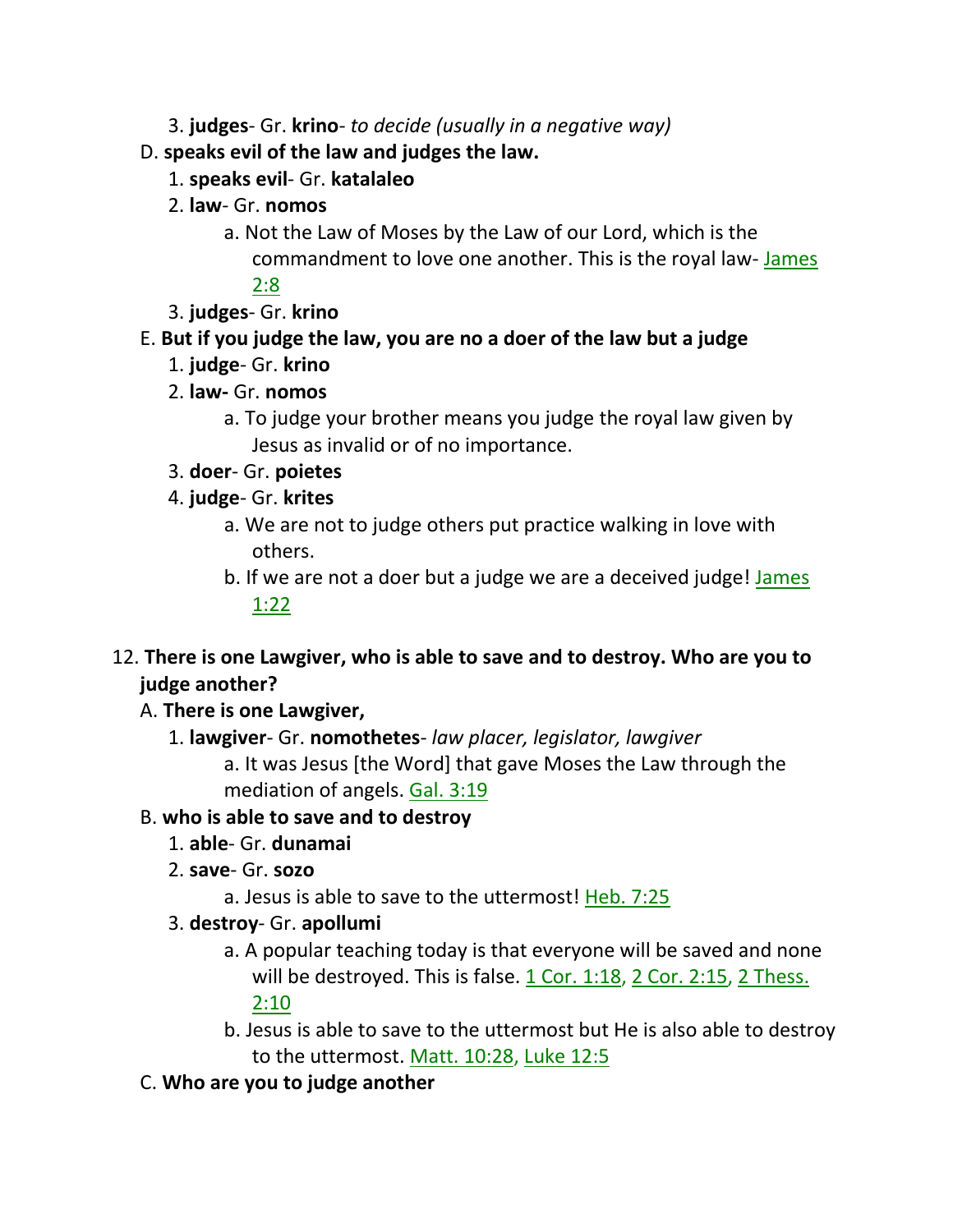- 3. **judges** Gr. **krino** *to decide (usually in a negative way)*
- D. **speaks evil of the law and judges the law.**
	- 1. **speaks evil** Gr. **katalaleo**
	- 2. **law** Gr. **nomos**
		- a. Not the Law of Moses by the Law of our Lord, which is the commandment to love one another. This is the royal law- James 2:8
	- 3. **judges** Gr. **krino**

# E. **But if you judge the law, you are no a doer of the law but a judge**

- 1. **judge** Gr. **krino**
- 2. **law-** Gr. **nomos**
	- a. To judge your brother means you judge the royal law given by Jesus as invalid or of no importance.
- 3. **doer** Gr. **poietes**
- 4. **judge** Gr. **krites**
	- a. We are not to judge others put practice walking in love with others.
	- b. If we are not a doer but a judge we are a deceived judge! James 1:22
- 12. **There is one Lawgiver, who is able to save and to destroy. Who are you to judge another?** 
	- A. **There is one Lawgiver,**
		- 1. **lawgiver** Gr. **nomothetes** *law placer, legislator, lawgiver* a. It was Jesus [the Word] that gave Moses the Law through the mediation of angels. Gal. 3:19

# B. **who is able to save and to destroy**

- 1. **able** Gr. **dunamai**
- 2. **save** Gr. **sozo**
	- a. Jesus is able to save to the uttermost! Heb. 7:25
- 3. **destroy** Gr. **apollumi**
	- a. A popular teaching today is that everyone will be saved and none will be destroyed. This is false.  $1$  Cor.  $1:18$ ,  $2$  Cor.  $2:15$ ,  $2$  Thess. 2:10
	- b. Jesus is able to save to the uttermost but He is also able to destroy to the uttermost. Matt. 10:28, Luke 12:5
- C. **Who are you to judge another**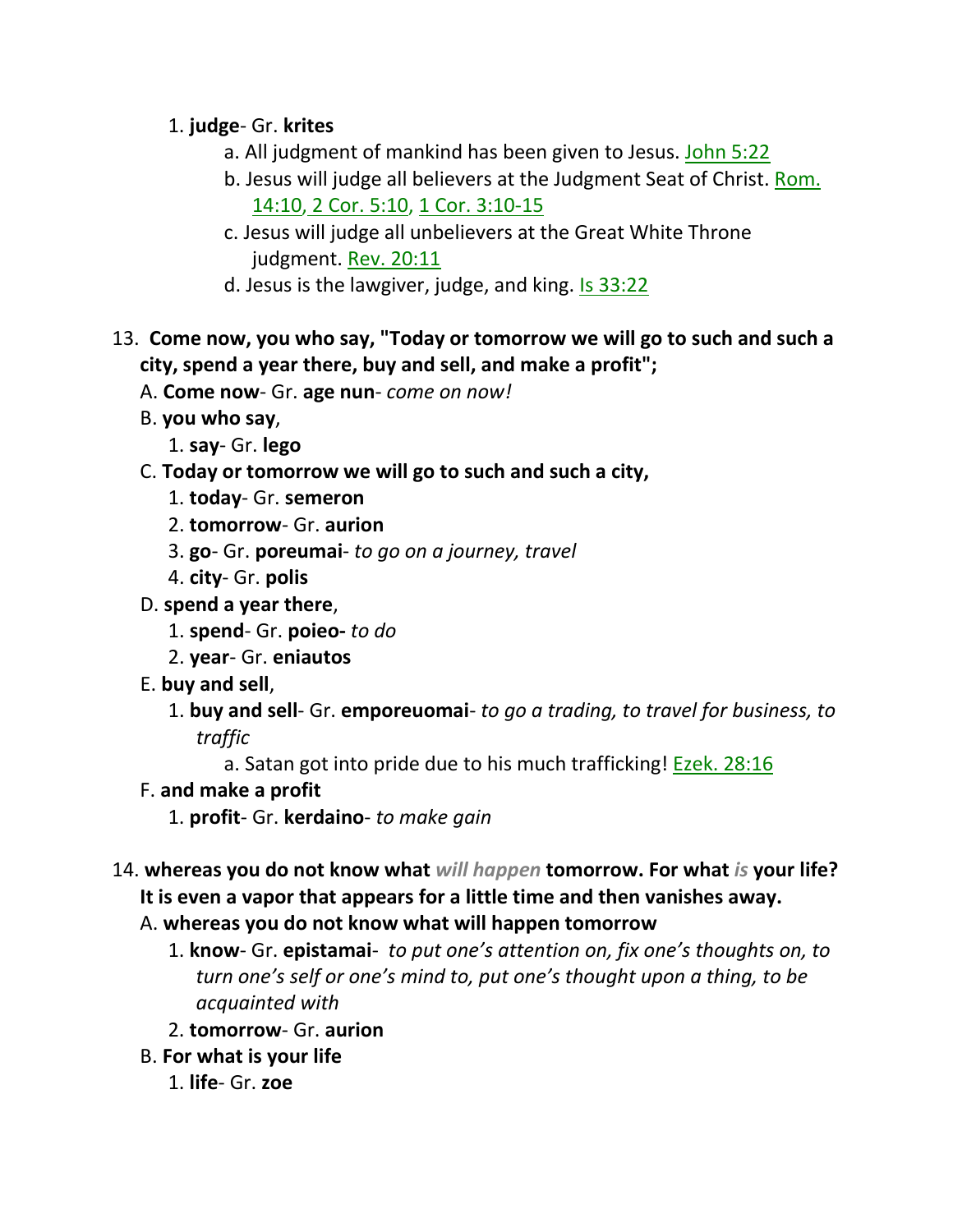## 1. **judge**- Gr. **krites**

- a. All judgment of mankind has been given to Jesus. John 5:22
- b. Jesus will judge all believers at the Judgment Seat of Christ. Rom. 14:10, 2 Cor. 5:10, 1 Cor. 3:10-15
- c. Jesus will judge all unbelievers at the Great White Throne judgment. Rev. 20:11
- d. Jesus is the lawgiver, judge, and king. Is 33:22
- 13. **Come now, you who say, "Today or tomorrow we will go to such and such a city, spend a year there, buy and sell, and make a profit";** 
	- A. **Come now** Gr. **age nun** *come on now!*
	- B. **you who say**,
		- 1. **say** Gr. **lego**
	- C. **Today or tomorrow we will go to such and such a city,**
		- 1. **today** Gr. **semeron**
		- 2. **tomorrow** Gr. **aurion**
		- 3. **go** Gr. **poreumai** *to go on a journey, travel*
		- 4. **city** Gr. **polis**
	- D. **spend a year there**,
		- 1. **spend** Gr. **poieo-** *to do*
		- 2. **year** Gr. **eniautos**
	- E. **buy and sell**,
		- 1. **buy and sell** Gr. **emporeuomai** *to go a trading, to travel for business, to traffic*
			- a. Satan got into pride due to his much trafficking! **Ezek. 28:16**
	- F. **and make a profit**
		- 1. **profit** Gr. **kerdaino** *to make gain*
- 14. **whereas you do not know what** *will happen* **tomorrow. For what** *is* **your life? It is even a vapor that appears for a little time and then vanishes away.** 
	- A. **whereas you do not know what will happen tomorrow**
		- 1. **know** Gr. **epistamai** *to put one's attention on, fix one's thoughts on, to turn one's self or one's mind to, put one's thought upon a thing, to be acquainted with*
		- 2. **tomorrow** Gr. **aurion**
	- B. **For what is your life**
		- 1. **life** Gr. **zoe**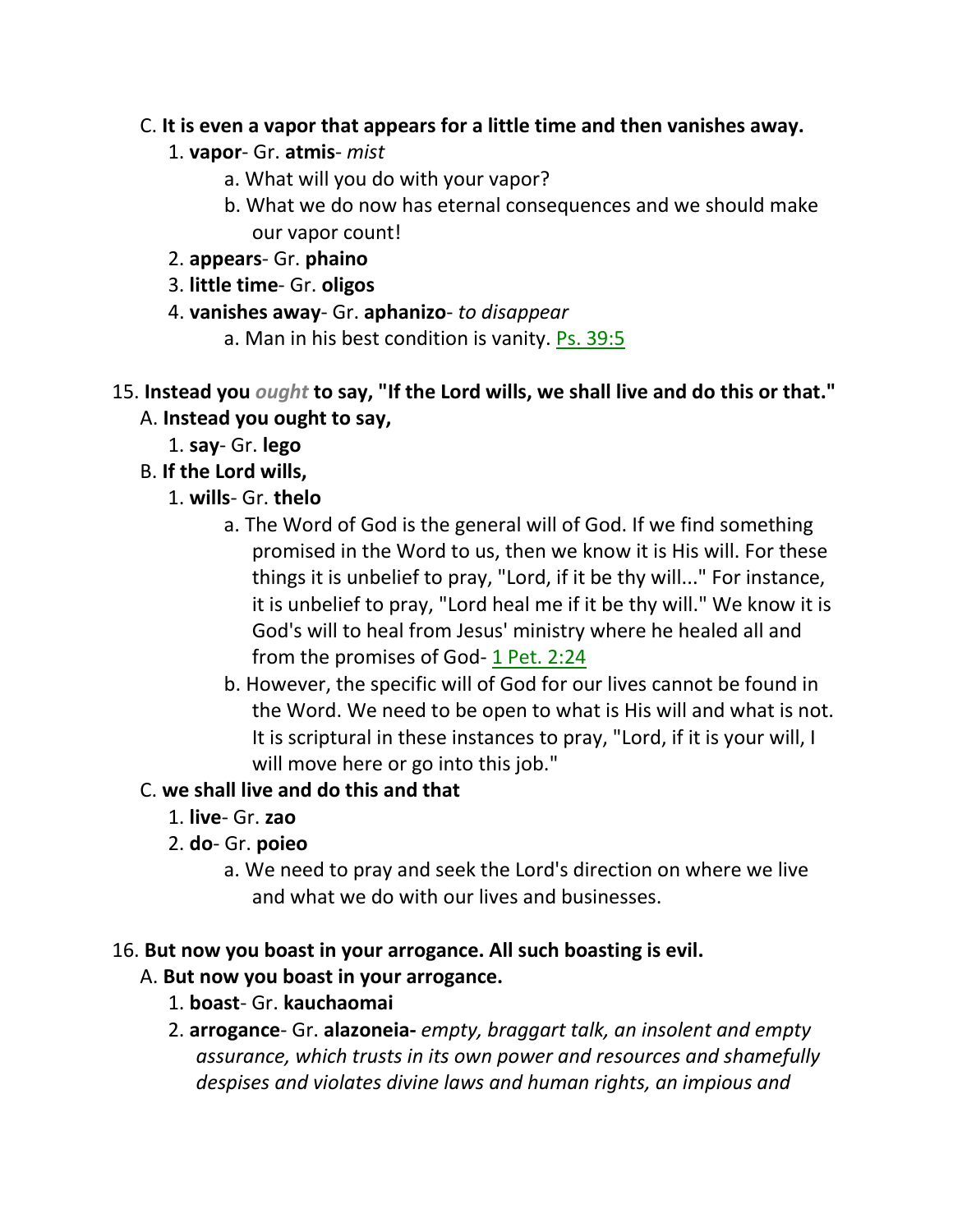#### C. **It is even a vapor that appears for a little time and then vanishes away.**

- 1. **vapor** Gr. **atmis** *mist*
	- a. What will you do with your vapor?
	- b. What we do now has eternal consequences and we should make our vapor count!
- 2. **appears** Gr. **phaino**
- 3. **little time** Gr. **oligos**
- 4. **vanishes away** Gr. **aphanizo** *to disappear*
	- a. Man in his best condition is vanity. Ps. 39:5

#### 15. **Instead you** *ought* **to say, "If the Lord wills, we shall live and do this or that."**  A. **Instead you ought to say,**

- 1. **say** Gr. **lego**
- B. **If the Lord wills,**
	- 1. **wills** Gr. **thelo**
		- a. The Word of God is the general will of God. If we find something promised in the Word to us, then we know it is His will. For these things it is unbelief to pray, "Lord, if it be thy will..." For instance, it is unbelief to pray, "Lord heal me if it be thy will." We know it is God's will to heal from Jesus' ministry where he healed all and from the promises of God- 1 Pet. 2:24
		- b. However, the specific will of God for our lives cannot be found in the Word. We need to be open to what is His will and what is not. It is scriptural in these instances to pray, "Lord, if it is your will, I will move here or go into this job."

## C. **we shall live and do this and that**

- 1. **live** Gr. **zao**
- 2. **do** Gr. **poieo**
	- a. We need to pray and seek the Lord's direction on where we live and what we do with our lives and businesses.

### 16. **But now you boast in your arrogance. All such boasting is evil.**

### A. **But now you boast in your arrogance.**

- 1. **boast** Gr. **kauchaomai**
- 2. **arrogance** Gr. **alazoneia-** *empty, braggart talk, an insolent and empty assurance, which trusts in its own power and resources and shamefully despises and violates divine laws and human rights, an impious and*